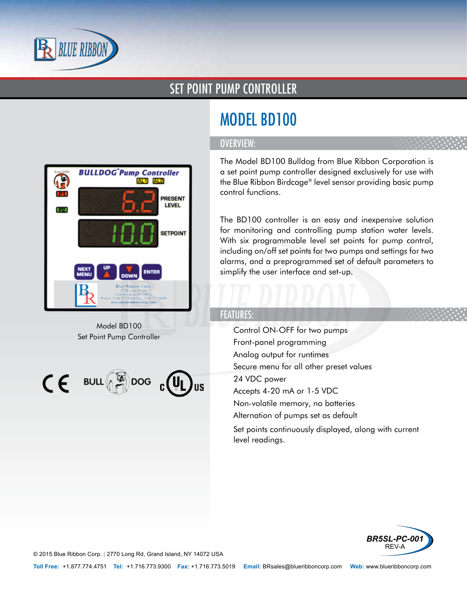

### SET POINT PUMP CONTROLLER



Model BD100 Set Point Pump Controller

 $\textsf{CE}$  BULL  $\binom{[n]}{r}$ DOG  $\textsf{C}$  (VL

# MODEL BD100

#### OVERVIEW:

The Model BD100 Bulldog from Blue Ribbon Corporation is a set point pump controller designed exclusively for use with the Blue Ribbon Birdcage® level sensor providing basic pump control functions.

The BD100 controller is an easy and inexpensive solution for monitoring and controlling pump station water levels. With six programmable level set points for pump control, including on/off set points for two pumps and settings for two alarms, and a preprogrammed set of default parameters to simplify the user interface and set-up.

#### FEATURES:

- Control ON-OFF for two pumps
- Front-panel programming
- Analog output for runtimes
- Secure menu for all other preset values
- 24 VDC power
- Accepts 4-20 mA or 1-5 VDC
- Non-volatile memory, no batteries
- Alternation of pumps set as default
- Set points continuously displayed, along with current level readings.



© 2015 Blue Ribbon Corp. *<sup>|</sup>* 2770 Long Rd, Grand Island, NY 14072 USA

**Toll Free:** +1.877.774.4751 **Tel:** +1.716.773.9300 **Fax:** +1.716.773.5019 **Email:** BRsales@blueribboncorp.com **Web:** www.blueribboncorp.com